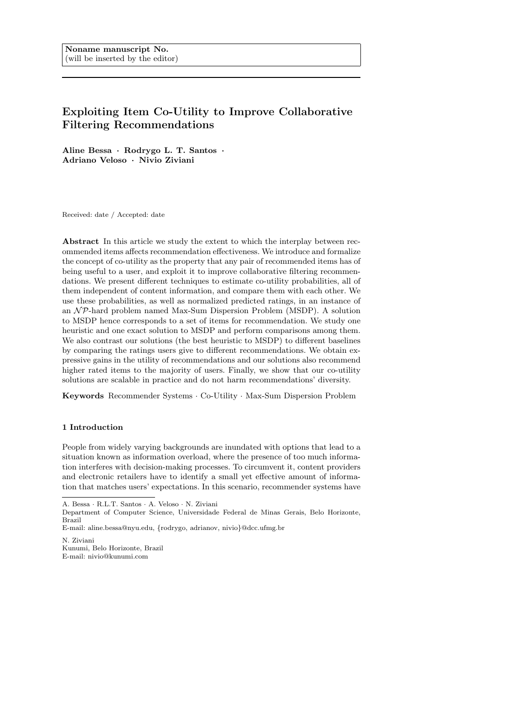# Exploiting Item Co-Utility to Improve Collaborative Filtering Recommendations

Aline Bessa · Rodrygo L. T. Santos · Adriano Veloso · Nivio Ziviani

Received: date / Accepted: date

Abstract In this article we study the extent to which the interplay between recommended items affects recommendation effectiveness. We introduce and formalize the concept of co-utility as the property that any pair of recommended items has of being useful to a user, and exploit it to improve collaborative filtering recommendations. We present different techniques to estimate co-utility probabilities, all of them independent of content information, and compare them with each other. We use these probabilities, as well as normalized predicted ratings, in an instance of an  $N \mathcal{P}$ -hard problem named Max-Sum Dispersion Problem (MSDP). A solution to MSDP hence corresponds to a set of items for recommendation. We study one heuristic and one exact solution to MSDP and perform comparisons among them. We also contrast our solutions (the best heuristic to MSDP) to different baselines by comparing the ratings users give to different recommendations. We obtain expressive gains in the utility of recommendations and our solutions also recommend higher rated items to the majority of users. Finally, we show that our co-utility solutions are scalable in practice and do not harm recommendations' diversity.

Keywords Recommender Systems · Co-Utility · Max-Sum Dispersion Problem

## 1 Introduction

People from widely varying backgrounds are inundated with options that lead to a situation known as information overload, where the presence of too much information interferes with decision-making processes. To circumvent it, content providers and electronic retailers have to identify a small yet effective amount of information that matches users' expectations. In this scenario, recommender systems have

A. Bessa · R.L.T. Santos · A. Veloso · N. Ziviani

Department of Computer Science, Universidade Federal de Minas Gerais, Belo Horizonte, Brazil

E-mail: aline.bessa@nyu.edu, {rodrygo, adrianov, nivio}@dcc.ufmg.br

N. Ziviani Kunumi, Belo Horizonte, Brazil E-mail: nivio@kunumi.com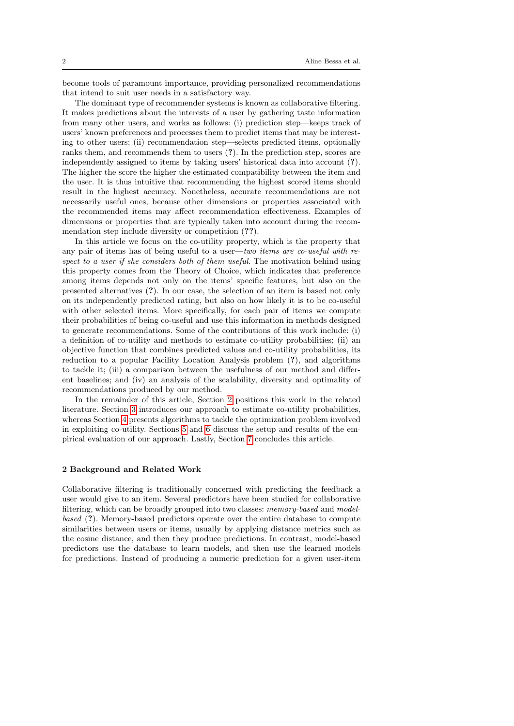become tools of paramount importance, providing personalized recommendations that intend to suit user needs in a satisfactory way.

The dominant type of recommender systems is known as collaborative filtering. It makes predictions about the interests of a user by gathering taste information from many other users, and works as follows: (i) prediction step—keeps track of users' known preferences and processes them to predict items that may be interesting to other users; (ii) recommendation step—selects predicted items, optionally ranks them, and recommends them to users (?). In the prediction step, scores are independently assigned to items by taking users' historical data into account (?). The higher the score the higher the estimated compatibility between the item and the user. It is thus intuitive that recommending the highest scored items should result in the highest accuracy. Nonetheless, accurate recommendations are not necessarily useful ones, because other dimensions or properties associated with the recommended items may affect recommendation effectiveness. Examples of dimensions or properties that are typically taken into account during the recommendation step include diversity or competition (??).

In this article we focus on the co-utility property, which is the property that any pair of items has of being useful to a user—two items are co-useful with respect to a user if she considers both of them useful. The motivation behind using this property comes from the Theory of Choice, which indicates that preference among items depends not only on the items' specific features, but also on the presented alternatives (?). In our case, the selection of an item is based not only on its independently predicted rating, but also on how likely it is to be co-useful with other selected items. More specifically, for each pair of items we compute their probabilities of being co-useful and use this information in methods designed to generate recommendations. Some of the contributions of this work include: (i) a definition of co-utility and methods to estimate co-utility probabilities; (ii) an objective function that combines predicted values and co-utility probabilities, its reduction to a popular Facility Location Analysis problem (?), and algorithms to tackle it; (iii) a comparison between the usefulness of our method and different baselines; and (iv) an analysis of the scalability, diversity and optimality of recommendations produced by our method.

In the remainder of this article, Section [2](#page-1-0) positions this work in the related literature. Section [3](#page-4-0) introduces our approach to estimate co-utility probabilities, whereas Section [4](#page-7-0) presents algorithms to tackle the optimization problem involved in exploiting co-utility. Sections [5](#page-8-0) and [6](#page-11-0) discuss the setup and results of the empirical evaluation of our approach. Lastly, Section [7](#page-19-0) concludes this article.

#### <span id="page-1-0"></span>2 Background and Related Work

Collaborative filtering is traditionally concerned with predicting the feedback a user would give to an item. Several predictors have been studied for collaborative filtering, which can be broadly grouped into two classes: memory-based and modelbased (?). Memory-based predictors operate over the entire database to compute similarities between users or items, usually by applying distance metrics such as the cosine distance, and then they produce predictions. In contrast, model-based predictors use the database to learn models, and then use the learned models for predictions. Instead of producing a numeric prediction for a given user-item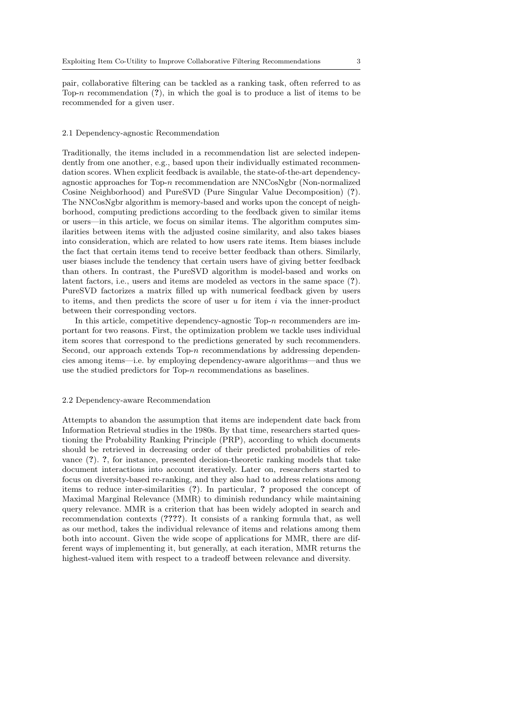pair, collaborative filtering can be tackled as a ranking task, often referred to as Top-n recommendation  $(?)$ , in which the goal is to produce a list of items to be recommended for a given user.

#### 2.1 Dependency-agnostic Recommendation

Traditionally, the items included in a recommendation list are selected independently from one another, e.g., based upon their individually estimated recommendation scores. When explicit feedback is available, the state-of-the-art dependencyagnostic approaches for Top-n recommendation are NNCosNgbr (Non-normalized Cosine Neighborhood) and PureSVD (Pure Singular Value Decomposition) (?). The NNCosNgbr algorithm is memory-based and works upon the concept of neighborhood, computing predictions according to the feedback given to similar items or users—in this article, we focus on similar items. The algorithm computes similarities between items with the adjusted cosine similarity, and also takes biases into consideration, which are related to how users rate items. Item biases include the fact that certain items tend to receive better feedback than others. Similarly, user biases include the tendency that certain users have of giving better feedback than others. In contrast, the PureSVD algorithm is model-based and works on latent factors, i.e., users and items are modeled as vectors in the same space (?). PureSVD factorizes a matrix filled up with numerical feedback given by users to items, and then predicts the score of user  $u$  for item  $i$  via the inner-product between their corresponding vectors.

In this article, competitive dependency-agnostic Top-n recommenders are important for two reasons. First, the optimization problem we tackle uses individual item scores that correspond to the predictions generated by such recommenders. Second, our approach extends Top- $n$  recommendations by addressing dependencies among items—i.e. by employing dependency-aware algorithms—and thus we use the studied predictors for Top-n recommendations as baselines.

#### <span id="page-2-0"></span>2.2 Dependency-aware Recommendation

Attempts to abandon the assumption that items are independent date back from Information Retrieval studies in the 1980s. By that time, researchers started questioning the Probability Ranking Principle (PRP), according to which documents should be retrieved in decreasing order of their predicted probabilities of relevance (?). ?, for instance, presented decision-theoretic ranking models that take document interactions into account iteratively. Later on, researchers started to focus on diversity-based re-ranking, and they also had to address relations among items to reduce inter-similarities (?). In particular, ? proposed the concept of Maximal Marginal Relevance (MMR) to diminish redundancy while maintaining query relevance. MMR is a criterion that has been widely adopted in search and recommendation contexts (????). It consists of a ranking formula that, as well as our method, takes the individual relevance of items and relations among them both into account. Given the wide scope of applications for MMR, there are different ways of implementing it, but generally, at each iteration, MMR returns the highest-valued item with respect to a tradeoff between relevance and diversity.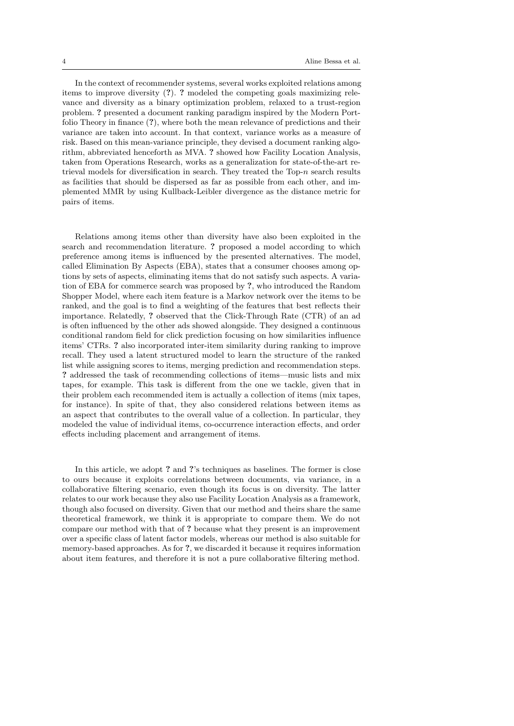In the context of recommender systems, several works exploited relations among items to improve diversity (?). ? modeled the competing goals maximizing relevance and diversity as a binary optimization problem, relaxed to a trust-region problem. ? presented a document ranking paradigm inspired by the Modern Portfolio Theory in finance (?), where both the mean relevance of predictions and their variance are taken into account. In that context, variance works as a measure of risk. Based on this mean-variance principle, they devised a document ranking algorithm, abbreviated henceforth as MVA. ? showed how Facility Location Analysis, taken from Operations Research, works as a generalization for state-of-the-art retrieval models for diversification in search. They treated the  $Top-n$  search results as facilities that should be dispersed as far as possible from each other, and implemented MMR by using Kullback-Leibler divergence as the distance metric for pairs of items.

Relations among items other than diversity have also been exploited in the search and recommendation literature. ? proposed a model according to which preference among items is influenced by the presented alternatives. The model, called Elimination By Aspects (EBA), states that a consumer chooses among options by sets of aspects, eliminating items that do not satisfy such aspects. A variation of EBA for commerce search was proposed by ?, who introduced the Random Shopper Model, where each item feature is a Markov network over the items to be ranked, and the goal is to find a weighting of the features that best reflects their importance. Relatedly, ? observed that the Click-Through Rate (CTR) of an ad is often influenced by the other ads showed alongside. They designed a continuous conditional random field for click prediction focusing on how similarities influence items' CTRs. ? also incorporated inter-item similarity during ranking to improve recall. They used a latent structured model to learn the structure of the ranked list while assigning scores to items, merging prediction and recommendation steps. ? addressed the task of recommending collections of items—music lists and mix tapes, for example. This task is different from the one we tackle, given that in their problem each recommended item is actually a collection of items (mix tapes, for instance). In spite of that, they also considered relations between items as an aspect that contributes to the overall value of a collection. In particular, they modeled the value of individual items, co-occurrence interaction effects, and order effects including placement and arrangement of items.

In this article, we adopt ? and ?'s techniques as baselines. The former is close to ours because it exploits correlations between documents, via variance, in a collaborative filtering scenario, even though its focus is on diversity. The latter relates to our work because they also use Facility Location Analysis as a framework, though also focused on diversity. Given that our method and theirs share the same theoretical framework, we think it is appropriate to compare them. We do not compare our method with that of ? because what they present is an improvement over a specific class of latent factor models, whereas our method is also suitable for memory-based approaches. As for ?, we discarded it because it requires information about item features, and therefore it is not a pure collaborative filtering method.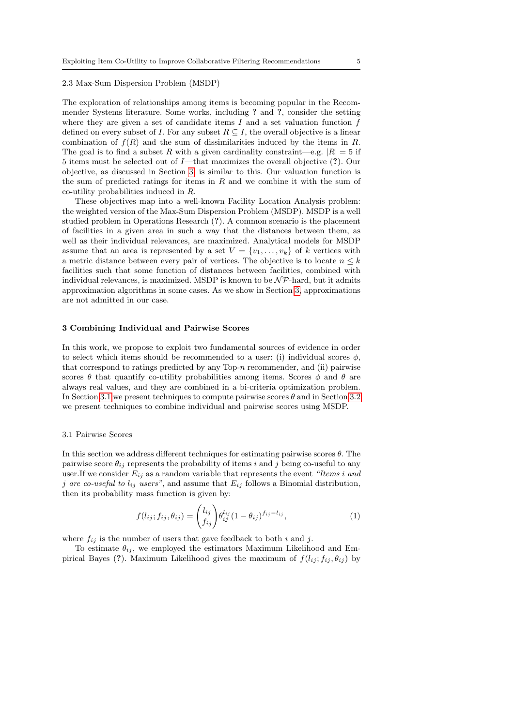# 2.3 Max-Sum Dispersion Problem (MSDP)

The exploration of relationships among items is becoming popular in the Recommender Systems literature. Some works, including ? and ?, consider the setting where they are given a set of candidate items  $I$  and a set valuation function  $f$ defined on every subset of I. For any subset  $R \subseteq I$ , the overall objective is a linear combination of  $f(R)$  and the sum of dissimilarities induced by the items in R. The goal is to find a subset R with a given cardinality constraint—e.g.  $|R| = 5$  if 5 items must be selected out of I—that maximizes the overall objective (?). Our objective, as discussed in Section [3,](#page-4-0) is similar to this. Our valuation function is the sum of predicted ratings for items in  $R$  and we combine it with the sum of co-utility probabilities induced in R.

These objectives map into a well-known Facility Location Analysis problem: the weighted version of the Max-Sum Dispersion Problem (MSDP). MSDP is a well studied problem in Operations Research (?). A common scenario is the placement of facilities in a given area in such a way that the distances between them, as well as their individual relevances, are maximized. Analytical models for MSDP assume that an area is represented by a set  $V = \{v_1, \ldots, v_k\}$  of k vertices with a metric distance between every pair of vertices. The objective is to locate  $n \leq k$ facilities such that some function of distances between facilities, combined with individual relevances, is maximized. MSDP is known to be  $\mathcal{NP}$ -hard, but it admits approximation algorithms in some cases. As we show in Section [3,](#page-4-0) approximations are not admitted in our case.

# <span id="page-4-0"></span>3 Combining Individual and Pairwise Scores

In this work, we propose to exploit two fundamental sources of evidence in order to select which items should be recommended to a user: (i) individual scores  $\phi$ , that correspond to ratings predicted by any Top- $n$  recommender, and (ii) pairwise scores  $\theta$  that quantify co-utility probabilities among items. Scores  $\phi$  and  $\theta$  are always real values, and they are combined in a bi-criteria optimization problem. In Section [3.1](#page-4-1) we present techniques to compute pairwise scores  $\theta$  and in Section [3.2](#page-6-0) we present techniques to combine individual and pairwise scores using MSDP.

#### <span id="page-4-1"></span>3.1 Pairwise Scores

In this section we address different techniques for estimating pairwise scores  $\theta$ . The pairwise score  $\theta_{ij}$  represents the probability of items i and j being co-useful to any user. If we consider  $E_{ij}$  as a random variable that represents the event "Items i and j are co-useful to  $l_{ij}$  users", and assume that  $E_{ij}$  follows a Binomial distribution, then its probability mass function is given by:

$$
f(l_{ij}; f_{ij}, \theta_{ij}) = \binom{l_{ij}}{f_{ij}} \theta_{ij}^{l_{ij}} (1 - \theta_{ij})^{f_{ij} - l_{ij}},
$$
\n(1)

where  $f_{ij}$  is the number of users that gave feedback to both i and j.

To estimate  $\theta_{ij}$ , we employed the estimators Maximum Likelihood and Empirical Bayes (?). Maximum Likelihood gives the maximum of  $f(l_{ij}; f_{ij}, \theta_{ij})$  by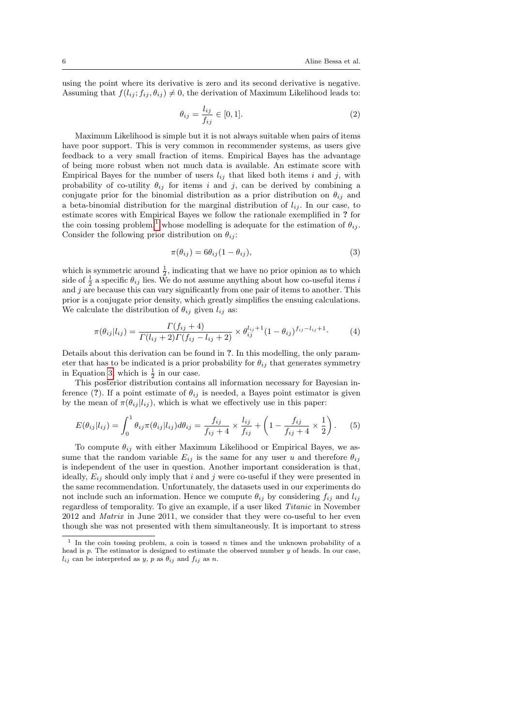using the point where its derivative is zero and its second derivative is negative. Assuming that  $f(l_{ij}; f_{ij}, \theta_{ij}) \neq 0$ , the derivation of Maximum Likelihood leads to:

$$
\theta_{ij} = \frac{l_{ij}}{f_{ij}} \in [0, 1]. \tag{2}
$$

Maximum Likelihood is simple but it is not always suitable when pairs of items have poor support. This is very common in recommender systems, as users give feedback to a very small fraction of items. Empirical Bayes has the advantage of being more robust when not much data is available. An estimate score with Empirical Bayes for the number of users  $l_{ij}$  that liked both items i and j, with probability of co-utility  $\theta_{ij}$  for items i and j, can be derived by combining a conjugate prior for the binomial distribution as a prior distribution on  $\theta_{ij}$  and a beta-binomial distribution for the marginal distribution of  $l_{ii}$ . In our case, to estimate scores with Empirical Bayes we follow the rationale exemplified in ? for the coin tossing problem,<sup>[1](#page-5-0)</sup> whose modelling is adequate for the estimation of  $\theta_{ij}$ . Consider the following prior distribution on  $\theta_{ij}$ :

<span id="page-5-1"></span>
$$
\pi(\theta_{ij}) = 6\theta_{ij}(1 - \theta_{ij}),\tag{3}
$$

which is symmetric around  $\frac{1}{2}$ , indicating that we have no prior opinion as to which side of  $\frac{1}{2}$  a specific  $\theta_{ij}$  lies. We do not assume anything about how co-useful items i and  $j$  are because this can vary significantly from one pair of items to another. This prior is a conjugate prior density, which greatly simplifies the ensuing calculations. We calculate the distribution of  $\theta_{ij}$  given  $l_{ij}$  as:

$$
\pi(\theta_{ij}|l_{ij}) = \frac{\Gamma(f_{ij} + 4)}{\Gamma(l_{ij} + 2)\Gamma(f_{ij} - l_{ij} + 2)} \times \theta_{ij}^{l_{ij}+1} (1 - \theta_{ij})^{f_{ij} - l_{ij}+1}.
$$
 (4)

Details about this derivation can be found in ?. In this modelling, the only parameter that has to be indicated is a prior probability for  $\theta_{ij}$  that generates symmetry in Equation [3,](#page-5-1) which is  $\frac{1}{2}$  in our case.

This posterior distribution contains all information necessary for Bayesian inference (?). If a point estimate of  $\theta_{ij}$  is needed, a Bayes point estimator is given by the mean of  $\pi(\theta_{ij} | l_{ij})$ , which is what we effectively use in this paper:

$$
E(\theta_{ij}|l_{ij}) = \int_0^1 \theta_{ij} \pi(\theta_{ij}|l_{ij}) d\theta_{ij} = \frac{f_{ij}}{f_{ij} + 4} \times \frac{l_{ij}}{f_{ij}} + \left(1 - \frac{f_{ij}}{f_{ij} + 4} \times \frac{1}{2}\right).
$$
 (5)

To compute  $\theta_{ij}$  with either Maximum Likelihood or Empirical Bayes, we assume that the random variable  $E_{ij}$  is the same for any user u and therefore  $\theta_{ij}$ is independent of the user in question. Another important consideration is that, ideally,  $E_{ij}$  should only imply that i and j were co-useful if they were presented in the same recommendation. Unfortunately, the datasets used in our experiments do not include such an information. Hence we compute  $\theta_{ij}$  by considering  $f_{ij}$  and  $l_{ij}$ regardless of temporality. To give an example, if a user liked Titanic in November 2012 and Matrix in June 2011, we consider that they were co-useful to her even though she was not presented with them simultaneously. It is important to stress

<span id="page-5-0"></span><sup>&</sup>lt;sup>1</sup> In the coin tossing problem, a coin is tossed n times and the unknown probability of a head is p. The estimator is designed to estimate the observed number y of heads. In our case,  $l_{ij}$  can be interpreted as y, p as  $\theta_{ij}$  and  $f_{ij}$  as n.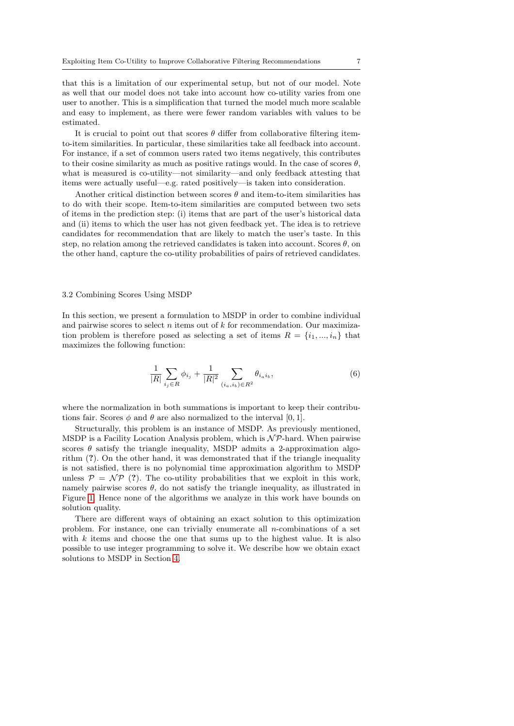that this is a limitation of our experimental setup, but not of our model. Note as well that our model does not take into account how co-utility varies from one user to another. This is a simplification that turned the model much more scalable and easy to implement, as there were fewer random variables with values to be estimated.

It is crucial to point out that scores  $\theta$  differ from collaborative filtering itemto-item similarities. In particular, these similarities take all feedback into account. For instance, if a set of common users rated two items negatively, this contributes to their cosine similarity as much as positive ratings would. In the case of scores  $\theta$ , what is measured is co-utility—not similarity—and only feedback attesting that items were actually useful—e.g. rated positively—is taken into consideration.

Another critical distinction between scores  $\theta$  and item-to-item similarities has to do with their scope. Item-to-item similarities are computed between two sets of items in the prediction step: (i) items that are part of the user's historical data and (ii) items to which the user has not given feedback yet. The idea is to retrieve candidates for recommendation that are likely to match the user's taste. In this step, no relation among the retrieved candidates is taken into account. Scores  $\theta$ , on the other hand, capture the co-utility probabilities of pairs of retrieved candidates.

#### <span id="page-6-0"></span>3.2 Combining Scores Using MSDP

In this section, we present a formulation to MSDP in order to combine individual and pairwise scores to select  $n$  items out of  $k$  for recommendation. Our maximization problem is therefore posed as selecting a set of items  $R = \{i_1, ..., i_n\}$  that maximizes the following function:

$$
\frac{1}{|R|} \sum_{i_j \in R} \phi_{i_j} + \frac{1}{|R|^2} \sum_{(i_a, i_b) \in R^2} \theta_{i_a i_b},\tag{6}
$$

where the normalization in both summations is important to keep their contributions fair. Scores  $\phi$  and  $\theta$  are also normalized to the interval [0, 1].

Structurally, this problem is an instance of MSDP. As previously mentioned, MSDP is a Facility Location Analysis problem, which is  $N \mathcal{P}$ -hard. When pairwise scores  $\theta$  satisfy the triangle inequality, MSDP admits a 2-approximation algorithm (?). On the other hand, it was demonstrated that if the triangle inequality is not satisfied, there is no polynomial time approximation algorithm to MSDP unless  $\mathcal{P} = \mathcal{NP}$  (?). The co-utility probabilities that we exploit in this work, namely pairwise scores  $\theta$ , do not satisfy the triangle inequality, as illustrated in Figure [1.](#page-7-1) Hence none of the algorithms we analyze in this work have bounds on solution quality.

There are different ways of obtaining an exact solution to this optimization problem. For instance, one can trivially enumerate all n-combinations of a set with  $k$  items and choose the one that sums up to the highest value. It is also possible to use integer programming to solve it. We describe how we obtain exact solutions to MSDP in Section [4.](#page-7-0)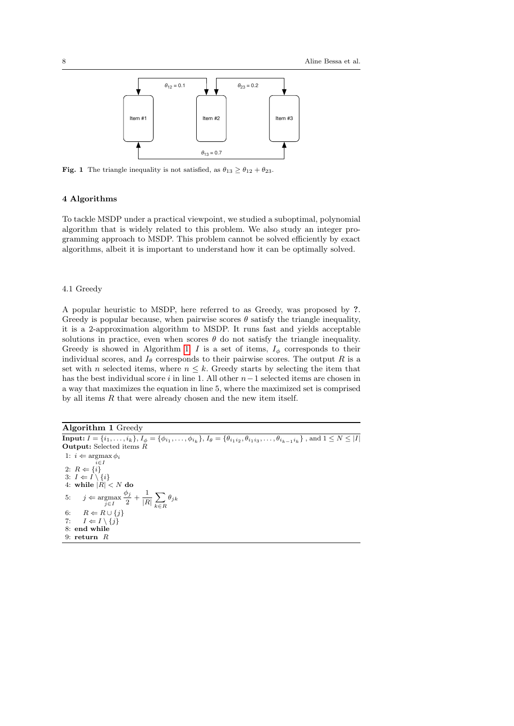

<span id="page-7-1"></span>**Fig. 1** The triangle inequality is not satisfied, as  $\theta_{13} \ge \theta_{12} + \theta_{23}$ .

## <span id="page-7-0"></span>4 Algorithms

To tackle MSDP under a practical viewpoint, we studied a suboptimal, polynomial algorithm that is widely related to this problem. We also study an integer programming approach to MSDP. This problem cannot be solved efficiently by exact algorithms, albeit it is important to understand how it can be optimally solved.

### 4.1 Greedy

A popular heuristic to MSDP, here referred to as Greedy, was proposed by ?. Greedy is popular because, when pairwise scores  $\theta$  satisfy the triangle inequality, it is a 2-approximation algorithm to MSDP. It runs fast and yields acceptable solutions in practice, even when scores  $\theta$  do not satisfy the triangle inequality. Greedy is showed in Algorithm [1.](#page-7-2) I is a set of items,  $I_{\phi}$  corresponds to their individual scores, and  $I_{\theta}$  corresponds to their pairwise scores. The output R is a set with n selected items, where  $n \leq k$ . Greedy starts by selecting the item that has the best individual score i in line 1. All other  $n-1$  selected items are chosen in a way that maximizes the equation in line 5, where the maximized set is comprised by all items  $R$  that were already chosen and the new item itself.

<span id="page-7-2"></span>Algorithm 1 Greedy **Input:**  $I = \{i_1, \ldots, i_k\}, I_\phi = \{\phi_{i_1}, \ldots, \phi_{i_k}\}, I_\theta = \{\theta_{i_1 i_2}, \theta_{i_1 i_3}, \ldots, \theta_{i_{k-1} i_k}\}$ , and  $1 \leq N \leq |I|$ Output: Selected items R 1:  $i \Leftarrow \operatorname*{argmax}_{i \in I} \phi_i$ 2:  $R \leftarrow \{i\}$ 3:  $I \leftarrow I \setminus \{i\}$ 4: while  $|R| < N$  do 5:  $j \Leftarrow \underset{j \in I}{\operatorname{argmax}}$  $\phi_j$  $rac{b_j}{2} + \frac{1}{|R|}$  $\frac{1}{|R|}\sum_{k\in I}$ k∈R  $\theta_{jk}$ 6:  $R \Leftarrow R \cup \{j\}$ 7:  $I \leftarrow I \setminus \{j\}$ 8: end while 9: return R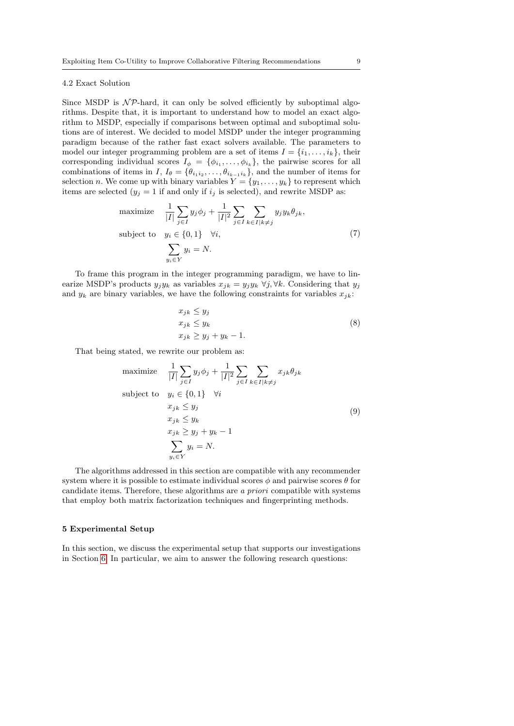## 4.2 Exact Solution

Since MSDP is  $N\mathcal{P}$ -hard, it can only be solved efficiently by suboptimal algorithms. Despite that, it is important to understand how to model an exact algorithm to MSDP, especially if comparisons between optimal and suboptimal solutions are of interest. We decided to model MSDP under the integer programming paradigm because of the rather fast exact solvers available. The parameters to model our integer programming problem are a set of items  $I = \{i_1, \ldots, i_k\}$ , their corresponding individual scores  $I_{\phi} = {\phi_{i_1}, \ldots, \phi_{i_k}}$ , the pairwise scores for all combinations of items in I,  $I_{\theta} = \{ \theta_{i_1 i_2}, \dots, \theta_{i_{k-1} i_k} \}$ , and the number of items for selection *n*. We come up with binary variables  $Y = \{y_1, \ldots, y_k\}$  to represent which items are selected  $(y_j = 1$  if and only if  $i_j$  is selected), and rewrite MSDP as:

maximize 
$$
\frac{1}{|I|} \sum_{j \in I} y_j \phi_j + \frac{1}{|I|^2} \sum_{j \in I} \sum_{k \in I | k \neq j} y_j y_k \theta_{jk},
$$
  
subject to 
$$
y_i \in \{0, 1\} \quad \forall i,
$$

$$
\sum_{y_i \in Y} y_i = N.
$$
 (7)

To frame this program in the integer programming paradigm, we have to linearize MSDP's products  $y_j y_k$  as variables  $x_{jk} = y_j y_k \; \forall j, \forall k$ . Considering that  $y_j$ and  $y_k$  are binary variables, we have the following constraints for variables  $x_{jk}$ :

$$
x_{jk} \le y_j
$$
  
\n
$$
x_{jk} \le y_k
$$
  
\n
$$
x_{jk} \ge y_j + y_k - 1.
$$
  
\n(8)

That being stated, we rewrite our problem as:

maximize 
$$
\frac{1}{|I|} \sum_{j \in I} y_j \phi_j + \frac{1}{|I|^2} \sum_{j \in I} \sum_{k \in I | k \neq j} x_{jk} \theta_{jk}
$$
  
subject to 
$$
y_i \in \{0, 1\} \quad \forall i
$$

$$
x_{jk} \leq y_j
$$

$$
x_{jk} \leq y_k
$$

$$
x_{jk} \geq y_j + y_k - 1
$$

$$
\sum_{y_i \in Y} y_i = N.
$$

$$
(9)
$$

The algorithms addressed in this section are compatible with any recommender system where it is possible to estimate individual scores  $\phi$  and pairwise scores  $\theta$  for candidate items. Therefore, these algorithms are a priori compatible with systems that employ both matrix factorization techniques and fingerprinting methods.

#### <span id="page-8-0"></span>5 Experimental Setup

In this section, we discuss the experimental setup that supports our investigations in Section [6.](#page-11-0) In particular, we aim to answer the following research questions: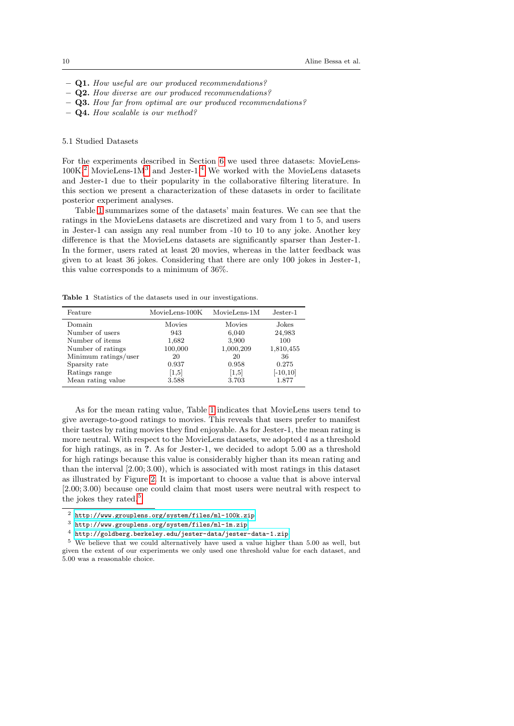- Q1. How useful are our produced recommendations?
- Q2. How diverse are our produced recommendations?
- Q3. How far from optimal are our produced recommendations?
- Q4. How scalable is our method?

## 5.1 Studied Datasets

For the experiments described in Section [6](#page-11-0) we used three datasets: MovieLens- $100K<sup>2</sup>$  $100K<sup>2</sup>$  $100K<sup>2</sup>$  MovieLens-1M<sup>[3](#page-9-1)</sup> and Jester-1.<sup>[4](#page-9-2)</sup> We worked with the MovieLens datasets and Jester-1 due to their popularity in the collaborative filtering literature. In this section we present a characterization of these datasets in order to facilitate posterior experiment analyses.

Table [1](#page-9-3) summarizes some of the datasets' main features. We can see that the ratings in the MovieLens datasets are discretized and vary from 1 to 5, and users in Jester-1 can assign any real number from -10 to 10 to any joke. Another key difference is that the MovieLens datasets are significantly sparser than Jester-1. In the former, users rated at least 20 movies, whereas in the latter feedback was given to at least 36 jokes. Considering that there are only 100 jokes in Jester-1, this value corresponds to a minimum of 36%.

<span id="page-9-3"></span>Table 1 Statistics of the datasets used in our investigations.

| Feature              | MovieLens-100K | $MovieLens-1M$ | Jester-1.   |
|----------------------|----------------|----------------|-------------|
| Domain               | Movies         | Movies         | Jokes       |
| Number of users      | 943            | 6,040          | 24,983      |
| Number of items      | 1,682          | 3,900          | 100         |
| Number of ratings    | 100,000        | 1,000,209      | 1,810,455   |
| Minimum ratings/user | 20             | 20             | 36          |
| Sparsity rate        | 0.937          | 0.958          | 0.275       |
| Ratings range        | [1,5]          | [1,5]          | $[-10, 10]$ |
| Mean rating value    | 3.588          | 3.703          | 1.877       |

As for the mean rating value, Table [1](#page-9-3) indicates that MovieLens users tend to give average-to-good ratings to movies. This reveals that users prefer to manifest their tastes by rating movies they find enjoyable. As for Jester-1, the mean rating is more neutral. With respect to the MovieLens datasets, we adopted 4 as a threshold for high ratings, as in ?. As for Jester-1, we decided to adopt 5.00 as a threshold for high ratings because this value is considerably higher than its mean rating and than the interval [2.00; 3.00), which is associated with most ratings in this dataset as illustrated by Figure [2.](#page-10-0) It is important to choose a value that is above interval [2.00; 3.00) because one could claim that most users were neutral with respect to the jokes they rated.<sup>[5](#page-9-4)</sup>

<span id="page-9-0"></span><sup>2</sup> <http://www.grouplens.org/system/files/ml-100k.zip>

<span id="page-9-1"></span> $^3$ <http://www.grouplens.org/system/files/ml-1m.zip>

<span id="page-9-4"></span><span id="page-9-2"></span><sup>4</sup> <http://goldberg.berkeley.edu/jester-data/jester-data-1.zip>

<sup>5</sup> We believe that we could alternatively have used a value higher than 5.00 as well, but given the extent of our experiments we only used one threshold value for each dataset, and 5.00 was a reasonable choice.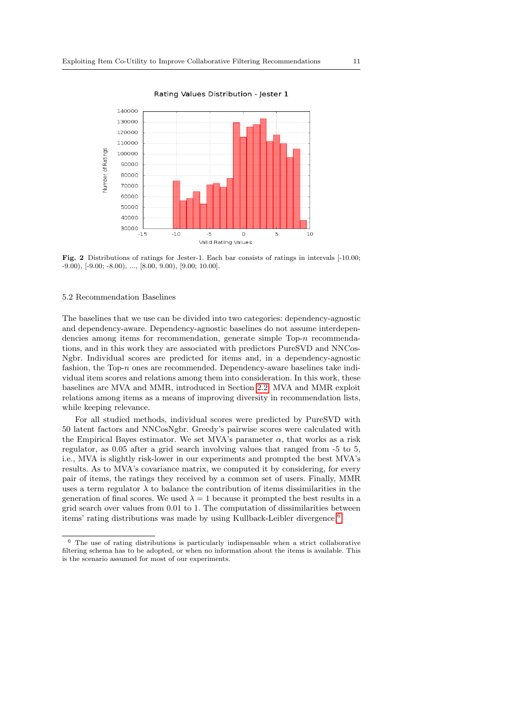

<span id="page-10-0"></span>Fig. 2 Distributions of ratings for Jester-1. Each bar consists of ratings in intervals [-10.00;  $-9.00$ ),  $[-9.00; -8.00)$ , ...,  $[8.00, 9.00)$ ,  $[9.00; 10.00]$ .

## 5.2 Recommendation Baselines

The baselines that we use can be divided into two categories: dependency-agnostic and dependency-aware. Dependency-agnostic baselines do not assume interdependencies among items for recommendation, generate simple Top-n recommendations, and in this work they are associated with predictors PureSVD and NNCos-Ngbr. Individual scores are predicted for items and, in a dependency-agnostic fashion, the Top- $n$  ones are recommended. Dependency-aware baselines take individual item scores and relations among them into consideration. In this work, these baselines are MVA and MMR, introduced in Section [2.2.](#page-2-0) MVA and MMR exploit relations among items as a means of improving diversity in recommendation lists, while keeping relevance.

For all studied methods, individual scores were predicted by PureSVD with 50 latent factors and NNCosNgbr. Greedy's pairwise scores were calculated with the Empirical Bayes estimator. We set MVA's parameter  $\alpha$ , that works as a risk regulator, as 0.05 after a grid search involving values that ranged from -5 to 5, i.e., MVA is slightly risk-lower in our experiments and prompted the best MVA's results. As to MVA's covariance matrix, we computed it by considering, for every pair of items, the ratings they received by a common set of users. Finally, MMR uses a term regulator  $\lambda$  to balance the contribution of items dissimilarities in the generation of final scores. We used  $\lambda = 1$  because it prompted the best results in a grid search over values from 0.01 to 1. The computation of dissimilarities between items' rating distributions was made by using Kullback-Leibler divergence.<sup>[6](#page-10-1)</sup>

<span id="page-10-1"></span> $6$  The use of rating distributions is particularly indispensable when a strict collaborative filtering schema has to be adopted, or when no information about the items is available. This is the scenario assumed for most of our experiments.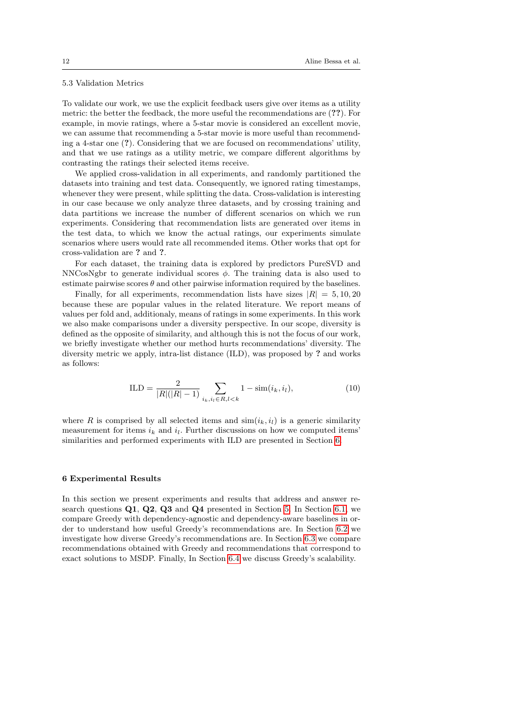## <span id="page-11-1"></span>5.3 Validation Metrics

To validate our work, we use the explicit feedback users give over items as a utility metric: the better the feedback, the more useful the recommendations are (??). For example, in movie ratings, where a 5-star movie is considered an excellent movie, we can assume that recommending a 5-star movie is more useful than recommending a 4-star one (?). Considering that we are focused on recommendations' utility, and that we use ratings as a utility metric, we compare different algorithms by contrasting the ratings their selected items receive.

We applied cross-validation in all experiments, and randomly partitioned the datasets into training and test data. Consequently, we ignored rating timestamps, whenever they were present, while splitting the data. Cross-validation is interesting in our case because we only analyze three datasets, and by crossing training and data partitions we increase the number of different scenarios on which we run experiments. Considering that recommendation lists are generated over items in the test data, to which we know the actual ratings, our experiments simulate scenarios where users would rate all recommended items. Other works that opt for cross-validation are ? and ?.

For each dataset, the training data is explored by predictors PureSVD and NNCosNgbr to generate individual scores  $\phi$ . The training data is also used to estimate pairwise scores  $\theta$  and other pairwise information required by the baselines.

Finally, for all experiments, recommendation lists have sizes  $|R| = 5, 10, 20$ because these are popular values in the related literature. We report means of values per fold and, additionaly, means of ratings in some experiments. In this work we also make comparisons under a diversity perspective. In our scope, diversity is defined as the opposite of similarity, and although this is not the focus of our work, we briefly investigate whether our method hurts recommendations' diversity. The diversity metric we apply, intra-list distance (ILD), was proposed by ? and works as follows:

$$
ILD = \frac{2}{|R|(|R|-1)} \sum_{i_k, i_l \in R, l < k} 1 - \text{sim}(i_k, i_l),\tag{10}
$$

where R is comprised by all selected items and  $\sin(i_k, i_l)$  is a generic similarity measurement for items  $i_k$  and  $i_l$ . Further discussions on how we computed items' similarities and performed experiments with ILD are presented in Section [6.](#page-11-0)

## <span id="page-11-0"></span>6 Experimental Results

In this section we present experiments and results that address and answer research questions Q1, Q2, Q3 and Q4 presented in Section [5.](#page-8-0) In Section [6.1,](#page-12-0) we compare Greedy with dependency-agnostic and dependency-aware baselines in order to understand how useful Greedy's recommendations are. In Section [6.2](#page-14-0) we investigate how diverse Greedy's recommendations are. In Section [6.3](#page-18-0) we compare recommendations obtained with Greedy and recommendations that correspond to exact solutions to MSDP. Finally, In Section [6.4](#page-18-1) we discuss Greedy's scalability.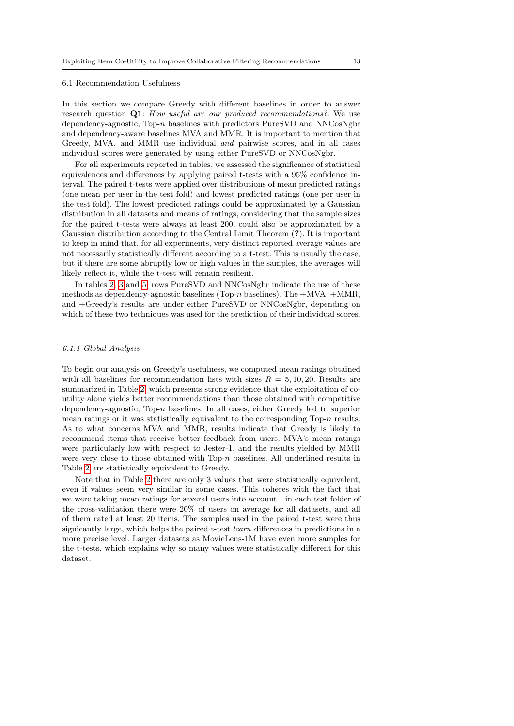#### <span id="page-12-0"></span>6.1 Recommendation Usefulness

In this section we compare Greedy with different baselines in order to answer research question Q1: How useful are our produced recommendations? We use dependency-agnostic,  $Top-n$  baselines with predictors PureSVD and NNCosNgbr and dependency-aware baselines MVA and MMR. It is important to mention that Greedy, MVA, and MMR use individual and pairwise scores, and in all cases individual scores were generated by using either PureSVD or NNCosNgbr.

For all experiments reported in tables, we assessed the significance of statistical equivalences and differences by applying paired t-tests with a 95% confidence interval. The paired t-tests were applied over distributions of mean predicted ratings (one mean per user in the test fold) and lowest predicted ratings (one per user in the test fold). The lowest predicted ratings could be approximated by a Gaussian distribution in all datasets and means of ratings, considering that the sample sizes for the paired t-tests were always at least 200, could also be approximated by a Gaussian distribution according to the Central Limit Theorem (?). It is important to keep in mind that, for all experiments, very distinct reported average values are not necessarily statistically different according to a t-test. This is usually the case, but if there are some abruptly low or high values in the samples, the averages will likely reflect it, while the t-test will remain resilient.

In tables [2,](#page-13-0) [3](#page-14-1) and [5,](#page-17-0) rows PureSVD and NNCosNgbr indicate the use of these methods as dependency-agnostic baselines (Top- $n$  baselines). The  $+MVA$ ,  $+MMR$ , and +Greedy's results are under either PureSVD or NNCosNgbr, depending on which of these two techniques was used for the prediction of their individual scores.

## 6.1.1 Global Analysis

To begin our analysis on Greedy's usefulness, we computed mean ratings obtained with all baselines for recommendation lists with sizes  $R = 5, 10, 20$ . Results are summarized in Table [2,](#page-13-0) which presents strong evidence that the exploitation of coutility alone yields better recommendations than those obtained with competitive dependency-agnostic,  $Top-n$  baselines. In all cases, either Greedy led to superior mean ratings or it was statistically equivalent to the corresponding Top- $n$  results. As to what concerns MVA and MMR, results indicate that Greedy is likely to recommend items that receive better feedback from users. MVA's mean ratings were particularly low with respect to Jester-1, and the results yielded by MMR were very close to those obtained with Top-n baselines. All underlined results in Table [2](#page-13-0) are statistically equivalent to Greedy.

Note that in Table [2](#page-13-0) there are only 3 values that were statistically equivalent, even if values seem very similar in some cases. This coheres with the fact that we were taking mean ratings for several users into account—in each test folder of the cross-validation there were 20% of users on average for all datasets, and all of them rated at least 20 items. The samples used in the paired t-test were thus signicantly large, which helps the paired t-test learn differences in predictions in a more precise level. Larger datasets as MovieLens-1M have even more samples for the t-tests, which explains why so many values were statistically different for this dataset.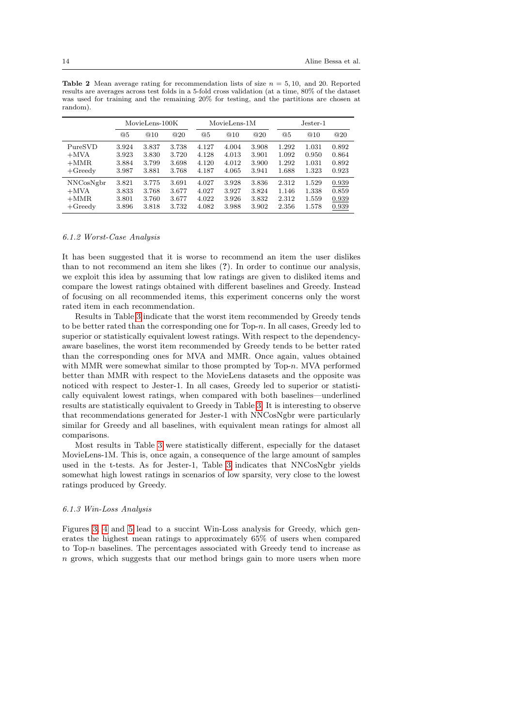|            | MovieLens-100K |       | MovieLens-1M |       |       | $Jester-1$ |       |       |       |
|------------|----------------|-------|--------------|-------|-------|------------|-------|-------|-------|
|            | @5             | @10   | @20          | @5    | @10   | @20        | @5    | @10   | @20   |
| PureSVD    | 3.924          | 3.837 | 3.738        | 4.127 | 4.004 | 3.908      | 1.292 | 1.031 | 0.892 |
| $+$ MVA    | 3.923          | 3.830 | 3.720        | 4.128 | 4.013 | 3.901      | 1.092 | 0.950 | 0.864 |
| $+MMR$     | 3.884          | 3.799 | 3.698        | 4.120 | 4.012 | 3.900      | 1.292 | 1.031 | 0.892 |
| $+G$ reedy | 3.987          | 3.881 | 3.768        | 4.187 | 4.065 | 3.941      | 1.688 | 1.323 | 0.923 |
| NNCosNgbr  | 3.821          | 3.775 | 3.691        | 4.027 | 3.928 | 3.836      | 2.312 | 1.529 | 0.939 |
| $+$ MVA    | 3.833          | 3.768 | 3.677        | 4.027 | 3.927 | 3.824      | 1.146 | 1.338 | 0.859 |
| $+MMR$     | 3.801          | 3.760 | 3.677        | 4.022 | 3.926 | 3.832      | 2.312 | 1.559 | 0.939 |
| $+G$ reedy | 3.896          | 3.818 | 3.732        | 4.082 | 3.988 | 3.902      | 2.356 | 1.578 | 0.939 |

<span id="page-13-0"></span>**Table 2** Mean average rating for recommendation lists of size  $n = 5, 10$ , and 20. Reported results are averages across test folds in a 5-fold cross validation (at a time, 80% of the dataset was used for training and the remaining 20% for testing, and the partitions are chosen at random).

#### 6.1.2 Worst-Case Analysis

It has been suggested that it is worse to recommend an item the user dislikes than to not recommend an item she likes (?). In order to continue our analysis, we exploit this idea by assuming that low ratings are given to disliked items and compare the lowest ratings obtained with different baselines and Greedy. Instead of focusing on all recommended items, this experiment concerns only the worst rated item in each recommendation.

Results in Table [3](#page-14-1) indicate that the worst item recommended by Greedy tends to be better rated than the corresponding one for  $Top-n$ . In all cases, Greedy led to superior or statistically equivalent lowest ratings. With respect to the dependencyaware baselines, the worst item recommended by Greedy tends to be better rated than the corresponding ones for MVA and MMR. Once again, values obtained with MMR were somewhat similar to those prompted by  $Top-n$ . MVA performed better than MMR with respect to the MovieLens datasets and the opposite was noticed with respect to Jester-1. In all cases, Greedy led to superior or statistically equivalent lowest ratings, when compared with both baselines—underlined results are statistically equivalent to Greedy in Table [3.](#page-14-1) It is interesting to observe that recommendations generated for Jester-1 with NNCosNgbr were particularly similar for Greedy and all baselines, with equivalent mean ratings for almost all comparisons.

Most results in Table [3](#page-14-1) were statistically different, especially for the dataset MovieLens-1M. This is, once again, a consequence of the large amount of samples used in the t-tests. As for Jester-1, Table [3](#page-14-1) indicates that NNCosNgbr yields somewhat high lowest ratings in scenarios of low sparsity, very close to the lowest ratings produced by Greedy.

#### 6.1.3 Win-Loss Analysis

Figures [3,](#page-15-0) [4](#page-15-1) and [5](#page-16-0) lead to a succint Win-Loss analysis for Greedy, which generates the highest mean ratings to approximately 65% of users when compared to Top-n baselines. The percentages associated with Greedy tend to increase as n grows, which suggests that our method brings gain to more users when more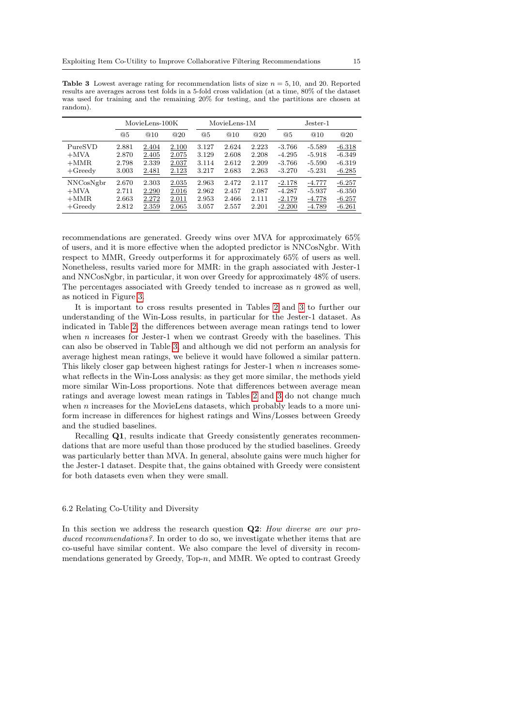<span id="page-14-1"></span>**Table 3** Lowest average rating for recommendation lists of size  $n = 5, 10$ , and 20. Reported results are averages across test folds in a 5-fold cross validation (at a time, 80% of the dataset was used for training and the remaining 20% for testing, and the partitions are chosen at random).

|            | MovieLens-100K |       | MovieLens-1M |       |       | $Jester-1$ |          |          |          |
|------------|----------------|-------|--------------|-------|-------|------------|----------|----------|----------|
|            | @5             | @10   | @20          | @5    | @10   | @20        | @5       | @10      | @20      |
| PureSVD    | 2.881          | 2.404 | 2.100        | 3.127 | 2.624 | 2.223      | $-3.766$ | $-5.589$ | $-6.318$ |
| $+$ MVA    | 2.870          | 2.405 | 2.075        | 3.129 | 2.608 | 2.208      | $-4.295$ | $-5.918$ | $-6.349$ |
| $+MMR$     | 2.798          | 2.339 | 2.037        | 3.114 | 2.612 | 2.209      | $-3.766$ | $-5.590$ | $-6.319$ |
| $+G$ reedy | 3.003          | 2.481 | 2.123        | 3.217 | 2.683 | 2.263      | $-3.270$ | $-5.231$ | $-6.285$ |
| NNCosNgbr  | 2.670          | 2.303 | 2.035        | 2.963 | 2.472 | 2.117      | $-2.178$ | $-4.777$ | $-6.257$ |
| $+$ MVA    | 2.711          | 2.290 | 2.016        | 2.962 | 2.457 | 2.087      | $-4.287$ | $-5.937$ | $-6.350$ |
| $+MMR$     | 2.663          | 2.272 | 2.011        | 2.953 | 2.466 | 2.111      | $-2.179$ | $-4.778$ | $-6.257$ |
| $+Geedv$   | 2.812          | 2.359 | 2.065        | 3.057 | 2.557 | 2.201      | $-2.200$ | $-4.789$ | $-6.261$ |

recommendations are generated. Greedy wins over MVA for approximately 65% of users, and it is more effective when the adopted predictor is NNCosNgbr. With respect to MMR, Greedy outperforms it for approximately 65% of users as well. Nonetheless, results varied more for MMR: in the graph associated with Jester-1 and NNCosNgbr, in particular, it won over Greedy for approximately 48% of users. The percentages associated with Greedy tended to increase as  $n$  growed as well, as noticed in Figure [3.](#page-15-0)

It is important to cross results presented in Tables [2](#page-13-0) and [3](#page-14-1) to further our understanding of the Win-Loss results, in particular for the Jester-1 dataset. As indicated in Table [2,](#page-13-0) the differences between average mean ratings tend to lower when  $n$  increases for Jester-1 when we contrast Greedy with the baselines. This can also be observed in Table [3,](#page-14-1) and although we did not perform an analysis for average highest mean ratings, we believe it would have followed a similar pattern. This likely closer gap between highest ratings for Jester-1 when  $n$  increases somewhat reflects in the Win-Loss analysis: as they get more similar, the methods yield more similar Win-Loss proportions. Note that differences between average mean ratings and average lowest mean ratings in Tables [2](#page-13-0) and [3](#page-14-1) do not change much when  $n$  increases for the MovieLens datasets, which probably leads to a more uniform increase in differences for highest ratings and Wins/Losses between Greedy and the studied baselines.

Recalling Q1, results indicate that Greedy consistently generates recommendations that are more useful than those produced by the studied baselines. Greedy was particularly better than MVA. In general, absolute gains were much higher for the Jester-1 dataset. Despite that, the gains obtained with Greedy were consistent for both datasets even when they were small.

### <span id="page-14-0"></span>6.2 Relating Co-Utility and Diversity

In this section we address the research question  $Q2$ : How diverse are our produced recommendations?. In order to do so, we investigate whether items that are co-useful have similar content. We also compare the level of diversity in recommendations generated by Greedy, Top- $n$ , and MMR. We opted to contrast Greedy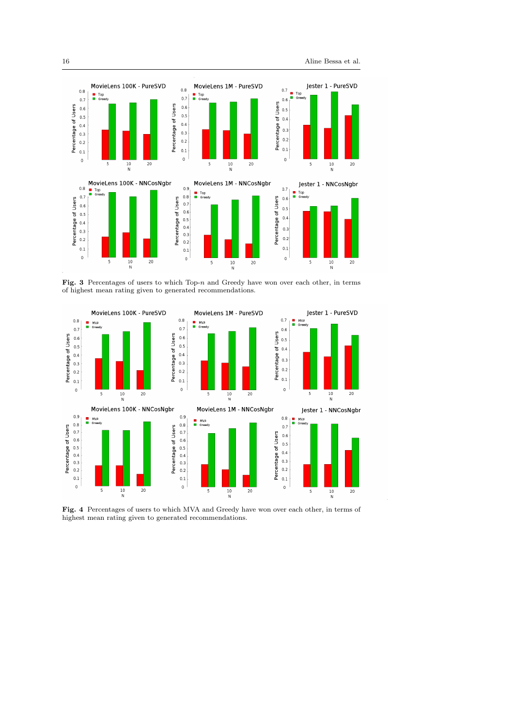

<span id="page-15-0"></span>Fig. 3 Percentages of users to which Top- $n$  and Greedy have won over each other, in terms of highest mean rating given to generated recommendations.



<span id="page-15-1"></span>Fig. 4 Percentages of users to which MVA and Greedy have won over each other, in terms of highest mean rating given to generated recommendations.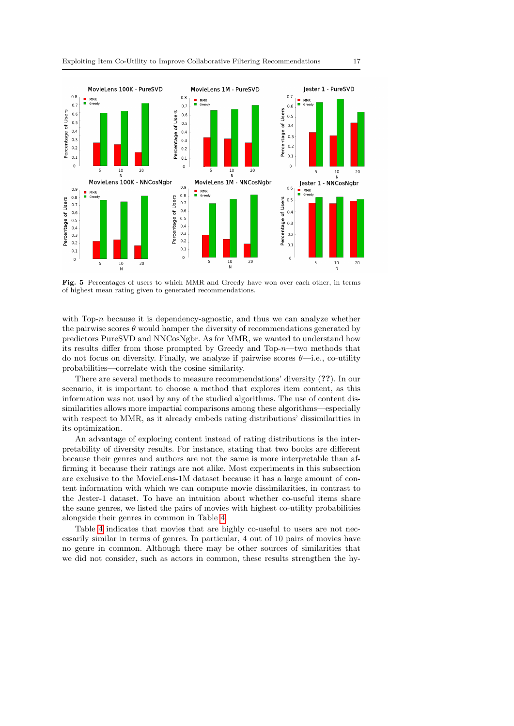

<span id="page-16-0"></span>Fig. 5 Percentages of users to which MMR and Greedy have won over each other, in terms of highest mean rating given to generated recommendations.

with Top- $n$  because it is dependency-agnostic, and thus we can analyze whether the pairwise scores  $\theta$  would hamper the diversity of recommendations generated by predictors PureSVD and NNCosNgbr. As for MMR, we wanted to understand how its results differ from those prompted by Greedy and Top-n—two methods that do not focus on diversity. Finally, we analyze if pairwise scores  $\theta$ —i.e., co-utility probabilities—correlate with the cosine similarity.

There are several methods to measure recommendations' diversity (??). In our scenario, it is important to choose a method that explores item content, as this information was not used by any of the studied algorithms. The use of content dissimilarities allows more impartial comparisons among these algorithms—especially with respect to MMR, as it already embeds rating distributions' dissimilarities in its optimization.

An advantage of exploring content instead of rating distributions is the interpretability of diversity results. For instance, stating that two books are different because their genres and authors are not the same is more interpretable than affirming it because their ratings are not alike. Most experiments in this subsection are exclusive to the MovieLens-1M dataset because it has a large amount of content information with which we can compute movie dissimilarities, in contrast to the Jester-1 dataset. To have an intuition about whether co-useful items share the same genres, we listed the pairs of movies with highest co-utility probabilities alongside their genres in common in Table [4.](#page-17-1)

Table [4](#page-17-1) indicates that movies that are highly co-useful to users are not necessarily similar in terms of genres. In particular, 4 out of 10 pairs of movies have no genre in common. Although there may be other sources of similarities that we did not consider, such as actors in common, these results strengthen the hy-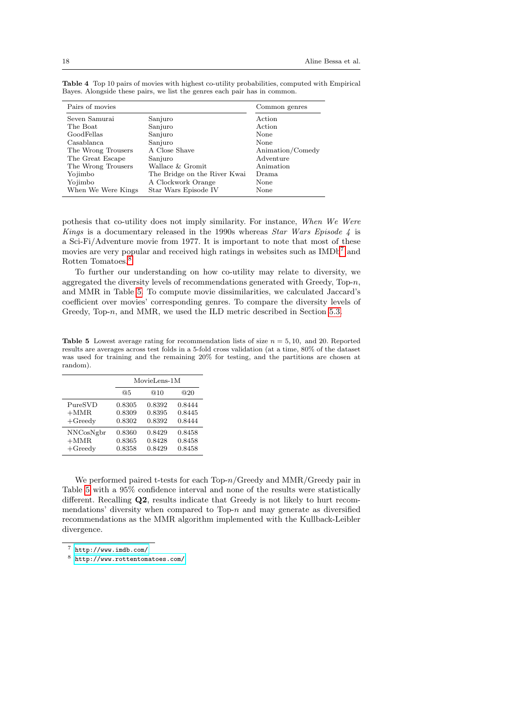| Pairs of movies    |                              | Common genres    |
|--------------------|------------------------------|------------------|
| Seven Samurai      | Sanjuro                      | Action           |
| The Boat           | Sanjuro                      | Action           |
| GoodFellas         | Sanjuro                      | None             |
| Casablanca         | Sanjuro                      | None             |
| The Wrong Trousers | A Close Shave                | Animation/Comedy |
| The Great Escape   | Sanjuro                      | Adventure        |
| The Wrong Trousers | Wallace & Gromit             | Animation        |
| Yojimbo            | The Bridge on the River Kwai | Drama            |
| Yojimbo            | A Clockwork Orange           | None             |
| When We Were Kings | Star Wars Episode IV         | None             |

<span id="page-17-1"></span>Table 4 Top 10 pairs of movies with highest co-utility probabilities, computed with Empirical Bayes. Alongside these pairs, we list the genres each pair has in common.

pothesis that co-utility does not imply similarity. For instance, When We Were Kings is a documentary released in the 1990s whereas *Star Wars Episode 4* is a Sci-Fi/Adventure movie from 1977. It is important to note that most of these movies are very popular and received high ratings in websites such as  $IMDb<sup>7</sup>$  $IMDb<sup>7</sup>$  $IMDb<sup>7</sup>$  and Rotten Tomatoes. $8$ 

To further our understanding on how co-utility may relate to diversity, we aggregated the diversity levels of recommendations generated with Greedy, Top- $n$ , and MMR in Table [5.](#page-17-0) To compute movie dissimilarities, we calculated Jaccard's coefficient over movies' corresponding genres. To compare the diversity levels of Greedy, Top-n, and MMR, we used the ILD metric described in Section [5.3.](#page-11-1)

<span id="page-17-0"></span>**Table 5** Lowest average rating for recommendation lists of size  $n = 5, 10$ , and 20. Reported results are averages across test folds in a 5-fold cross validation (at a time, 80% of the dataset was used for training and the remaining 20% for testing, and the partitions are chosen at random).

|            |        | MovieLens-1M |        |  |  |
|------------|--------|--------------|--------|--|--|
|            | @5     | @10          | @20    |  |  |
| PureSVD    | 0.8305 | 0.8392       | 0.8444 |  |  |
| $+MMR$     | 0.8309 | 0.8395       | 0.8445 |  |  |
| $+G$ reedy | 0.8302 | 0.8392       | 0.8444 |  |  |
| NNCosNgbr  | 0.8360 | 0.8429       | 0.8458 |  |  |
| $+MMR$     | 0.8365 | 0.8428       | 0.8458 |  |  |
| $+G$ reedy | 0.8358 | 0.8429       | 0.8458 |  |  |

We performed paired t-tests for each Top- $n/G$ reedy and MMR/Greedy pair in Table [5](#page-17-0) with a 95% confidence interval and none of the results were statistically different. Recalling Q2, results indicate that Greedy is not likely to hurt recommendations' diversity when compared to Top- $n$  and may generate as diversified recommendations as the MMR algorithm implemented with the Kullback-Leibler divergence.

<span id="page-17-2"></span><sup>7</sup> <http://www.imdb.com/>

<span id="page-17-3"></span><sup>8</sup> <http://www.rottentomatoes.com/>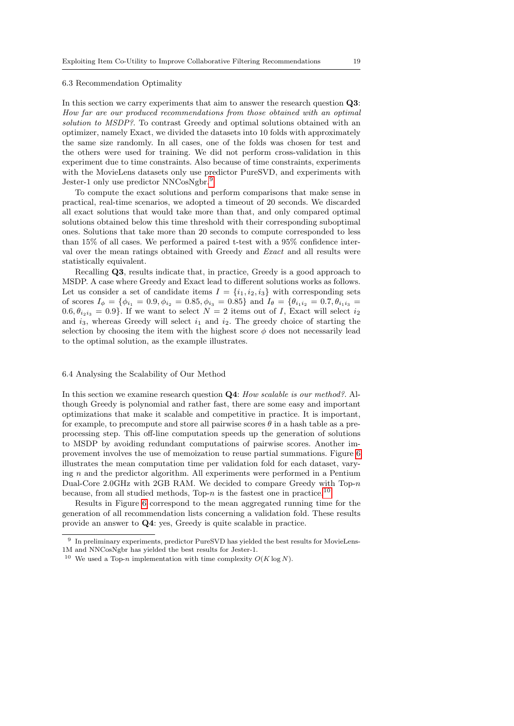#### <span id="page-18-0"></span>6.3 Recommendation Optimality

In this section we carry experiments that aim to answer the research question Q3: How far are our produced recommendations from those obtained with an optimal solution to MSDP?. To contrast Greedy and optimal solutions obtained with an optimizer, namely Exact, we divided the datasets into 10 folds with approximately the same size randomly. In all cases, one of the folds was chosen for test and the others were used for training. We did not perform cross-validation in this experiment due to time constraints. Also because of time constraints, experiments with the MovieLens datasets only use predictor PureSVD, and experiments with Jester-1 only use predictor NNCosNgbr.<sup>[9](#page-18-2)</sup>

To compute the exact solutions and perform comparisons that make sense in practical, real-time scenarios, we adopted a timeout of 20 seconds. We discarded all exact solutions that would take more than that, and only compared optimal solutions obtained below this time threshold with their corresponding suboptimal ones. Solutions that take more than 20 seconds to compute corresponded to less than 15% of all cases. We performed a paired t-test with a 95% confidence interval over the mean ratings obtained with Greedy and Exact and all results were statistically equivalent.

Recalling Q3, results indicate that, in practice, Greedy is a good approach to MSDP. A case where Greedy and Exact lead to different solutions works as follows. Let us consider a set of candidate items  $I = \{i_1, i_2, i_3\}$  with corresponding sets of scores  $I_{\phi} = \{\phi_{i_1} = 0.9, \phi_{i_2} = 0.85, \phi_{i_3} = 0.85\}$  and  $I_{\theta} = \{\theta_{i_1 i_2} = 0.7, \theta_{i_1 i_3} =$  $(0.6, \theta_{i_2i_3} = 0.9)$ . If we want to select  $N = 2$  items out of I, Exact will select  $i_2$ and  $i_3$ , whereas Greedy will select  $i_1$  and  $i_2$ . The greedy choice of starting the selection by choosing the item with the highest score  $\phi$  does not necessarily lead to the optimal solution, as the example illustrates.

#### <span id="page-18-1"></span>6.4 Analysing the Scalability of Our Method

In this section we examine research question **Q4**: How scalable is our method? Although Greedy is polynomial and rather fast, there are some easy and important optimizations that make it scalable and competitive in practice. It is important, for example, to precompute and store all pairwise scores  $\theta$  in a hash table as a preprocessing step. This off-line computation speeds up the generation of solutions to MSDP by avoiding redundant computations of pairwise scores. Another improvement involves the use of memoization to reuse partial summations. Figure [6](#page-19-1) illustrates the mean computation time per validation fold for each dataset, varying  $n$  and the predictor algorithm. All experiments were performed in a Pentium Dual-Core 2.0GHz with 2GB RAM. We decided to compare Greedy with Top-n because, from all studied methods, Top-n is the fastest one in practice.<sup>[10](#page-18-3)</sup>

Results in Figure [6](#page-19-1) correspond to the mean aggregated running time for the generation of all recommendation lists concerning a validation fold. These results provide an answer to Q4: yes, Greedy is quite scalable in practice.

<span id="page-18-2"></span><sup>&</sup>lt;sup>9</sup> In preliminary experiments, predictor PureSVD has yielded the best results for MovieLens-1M and NNCosNgbr has yielded the best results for Jester-1.

<span id="page-18-3"></span><sup>&</sup>lt;sup>10</sup> We used a Top-n implementation with time complexity  $O(K \log N)$ .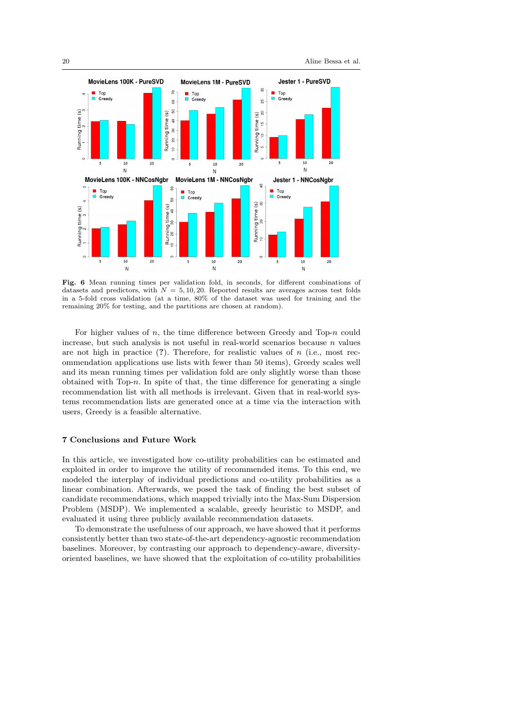

<span id="page-19-1"></span>Fig. 6 Mean running times per validation fold, in seconds, for different combinations of datasets and predictors, with  $N = 5, 10, 20$ . Reported results are averages across test folds in a 5-fold cross validation (at a time, 80% of the dataset was used for training and the remaining 20% for testing, and the partitions are chosen at random).

For higher values of  $n$ , the time difference between Greedy and Top- $n$  could increase, but such analysis is not useful in real-world scenarios because  $n$  values are not high in practice  $(?)$ . Therefore, for realistic values of  $n$  (i.e., most recommendation applications use lists with fewer than 50 items), Greedy scales well and its mean running times per validation fold are only slightly worse than those obtained with Top- $n$ . In spite of that, the time difference for generating a single recommendation list with all methods is irrelevant. Given that in real-world systems recommendation lists are generated once at a time via the interaction with users, Greedy is a feasible alternative.

## <span id="page-19-0"></span>7 Conclusions and Future Work

In this article, we investigated how co-utility probabilities can be estimated and exploited in order to improve the utility of recommended items. To this end, we modeled the interplay of individual predictions and co-utility probabilities as a linear combination. Afterwards, we posed the task of finding the best subset of candidate recommendations, which mapped trivially into the Max-Sum Dispersion Problem (MSDP). We implemented a scalable, greedy heuristic to MSDP, and evaluated it using three publicly available recommendation datasets.

To demonstrate the usefulness of our approach, we have showed that it performs consistently better than two state-of-the-art dependency-agnostic recommendation baselines. Moreover, by contrasting our approach to dependency-aware, diversityoriented baselines, we have showed that the exploitation of co-utility probabilities